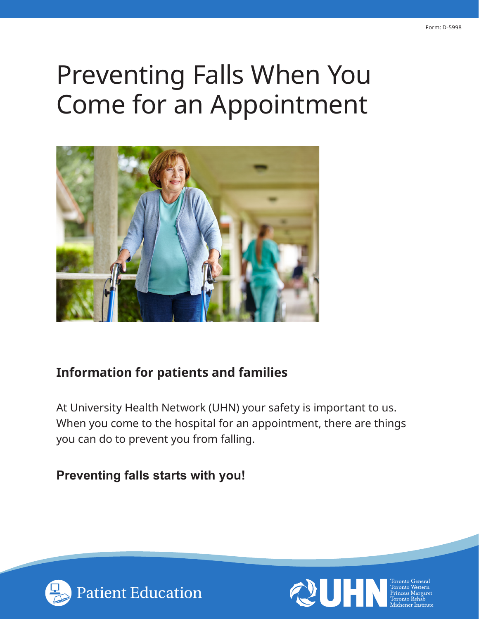# Preventing Falls When You Come for an Appointment



### **Information for patients and families**

At University Health Network (UHN) your safety is important to us. When you come to the hospital for an appointment, there are things you can do to prevent you from falling.

### **Preventing falls starts with you!**